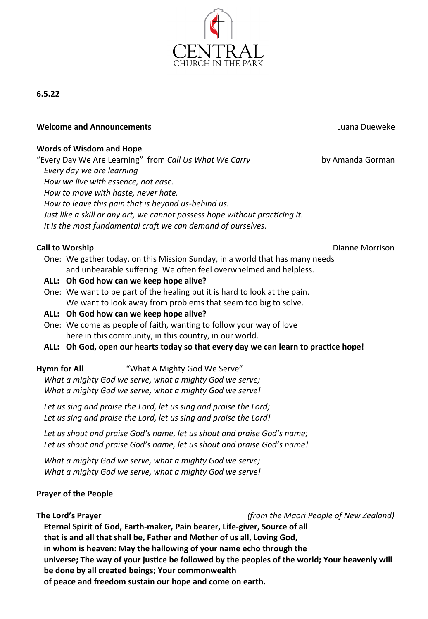

**6.5.22** 

### **Welcome and Announcements Luana Dueweke Luana Dueweke**

### **Words of Wisdom and Hope**

"Every Day We Are Learning" from *Call Us What We Carry* by Amanda Gorman *Every day we are learning How we live with essence, not ease. How to move with haste, never hate. How to leave this pain that is beyond us-behind us. Just like a skill or any art, we cannot possess hope without practicing it. It is the most fundamental craft we can demand of ourselves.*

**Call to Worship Call to Worship Call to Worship** *Dianne Morrison* 

One: We gather today, on this Mission Sunday, in a world that has many needs and unbearable suffering. We often feel overwhelmed and helpless.

# **ALL: Oh God how can we keep hope alive?**

One: We want to be part of the healing but it is hard to look at the pain. We want to look away from problems that seem too big to solve.

# **ALL: Oh God how can we keep hope alive?**

- One: We come as people of faith, wanting to follow your way of love here in this community, in this country, in our world.
- **ALL: Oh God, open our hearts today so that every day we can learn to practice hope!**

# **Hymn for All** "What A Mighty God We Serve"

*What a mighty God we serve, what a mighty God we serve; What a mighty God we serve, what a mighty God we serve!*

*Let us sing and praise the Lord, let us sing and praise the Lord; Let us sing and praise the Lord, let us sing and praise the Lord!*

*Let us shout and praise God's name, let us shout and praise God's name; Let us shout and praise God's name, let us shout and praise God's name!*

*What a mighty God we serve, what a mighty God we serve; What a mighty God we serve, what a mighty God we serve!* 

# **Prayer of the People**

**The Lord's Prayer** *(from the Maori People of New Zealand)*

**Eternal Spirit of God, Earth-maker, Pain bearer, Life-giver, Source of all that is and all that shall be, Father and Mother of us all, Loving God, in whom is heaven: May the hallowing of your name echo through the universe; The way of your justice be followed by the peoples of the world; Your heavenly will be done by all created beings; Your commonwealth of peace and freedom sustain our hope and come on earth.**